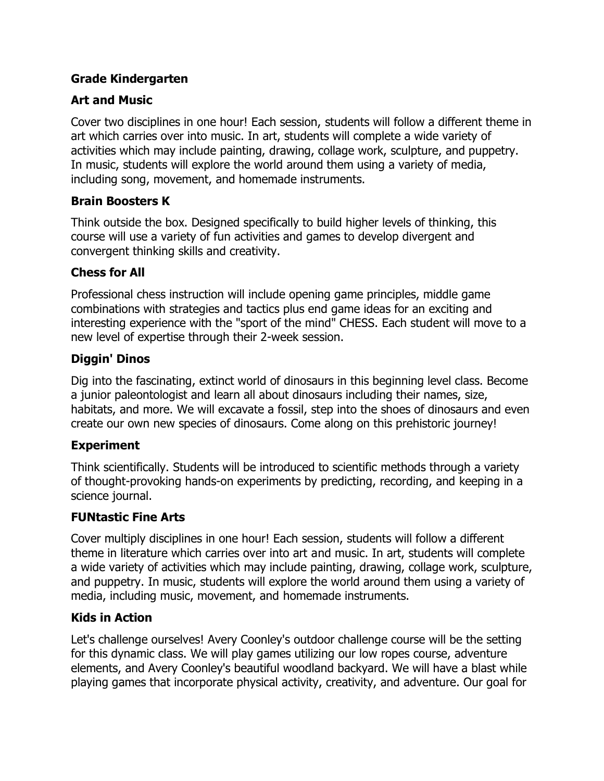#### **Grade Kindergarten**

### **Art and Music**

Cover two disciplines in one hour! Each session, students will follow a different theme in art which carries over into music. In art, students will complete a wide variety of activities which may include painting, drawing, collage work, sculpture, and puppetry. In music, students will explore the world around them using a variety of media, including song, movement, and homemade instruments.

#### **Brain Boosters K**

Think outside the box. Designed specifically to build higher levels of thinking, this course will use a variety of fun activities and games to develop divergent and convergent thinking skills and creativity.

#### **Chess for All**

Professional chess instruction will include opening game principles, middle game combinations with strategies and tactics plus end game ideas for an exciting and interesting experience with the "sport of the mind" CHESS. Each student will move to a new level of expertise through their 2-week session.

#### **Diggin' Dinos**

Dig into the fascinating, extinct world of dinosaurs in this beginning level class. Become a junior paleontologist and learn all about dinosaurs including their names, size, habitats, and more. We will excavate a fossil, step into the shoes of dinosaurs and even create our own new species of dinosaurs. Come along on this prehistoric journey!

### **Experiment**

Think scientifically. Students will be introduced to scientific methods through a variety of thought-provoking hands-on experiments by predicting, recording, and keeping in a science journal.

### **FUNtastic Fine Arts**

Cover multiply disciplines in one hour! Each session, students will follow a different theme in literature which carries over into art and music. In art, students will complete a wide variety of activities which may include painting, drawing, collage work, sculpture, and puppetry. In music, students will explore the world around them using a variety of media, including music, movement, and homemade instruments.

### **Kids in Action**

Let's challenge ourselves! Avery Coonley's outdoor challenge course will be the setting for this dynamic class. We will play games utilizing our low ropes course, adventure elements, and Avery Coonley's beautiful woodland backyard. We will have a blast while playing games that incorporate physical activity, creativity, and adventure. Our goal for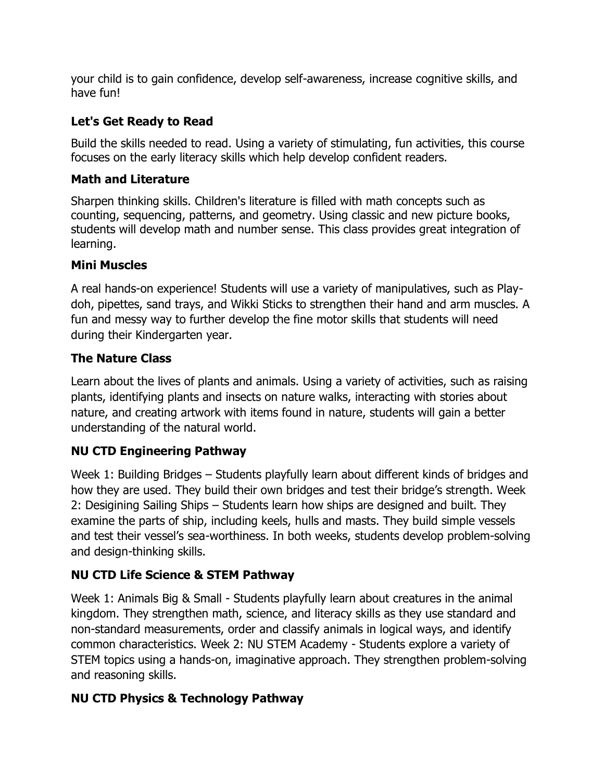your child is to gain confidence, develop self-awareness, increase cognitive skills, and have fun!

# **Let's Get Ready to Read**

Build the skills needed to read. Using a variety of stimulating, fun activities, this course focuses on the early literacy skills which help develop confident readers.

### **Math and Literature**

Sharpen thinking skills. Children's literature is filled with math concepts such as counting, sequencing, patterns, and geometry. Using classic and new picture books, students will develop math and number sense. This class provides great integration of learning.

## **Mini Muscles**

A real hands-on experience! Students will use a variety of manipulatives, such as Playdoh, pipettes, sand trays, and Wikki Sticks to strengthen their hand and arm muscles. A fun and messy way to further develop the fine motor skills that students will need during their Kindergarten year.

## **The Nature Class**

Learn about the lives of plants and animals. Using a variety of activities, such as raising plants, identifying plants and insects on nature walks, interacting with stories about nature, and creating artwork with items found in nature, students will gain a better understanding of the natural world.

## **NU CTD Engineering Pathway**

Week 1: Building Bridges  $-$  Students playfully learn about different kinds of bridges and how they are used. They build their own bridges and test their bridge's strength. Week 2: Desigining Sailing Ships – Students learn how ships are designed and built. They examine the parts of ship, including keels, hulls and masts. They build simple vessels and test their vessel's sea-worthiness. In both weeks, students develop problem-solving and design-thinking skills.

## **NU CTD Life Science & STEM Pathway**

Week 1: Animals Big & Small - Students playfully learn about creatures in the animal kingdom. They strengthen math, science, and literacy skills as they use standard and non-standard measurements, order and classify animals in logical ways, and identify common characteristics. Week 2: NU STEM Academy - Students explore a variety of STEM topics using a hands-on, imaginative approach. They strengthen problem-solving and reasoning skills.

## **NU CTD Physics & Technology Pathway**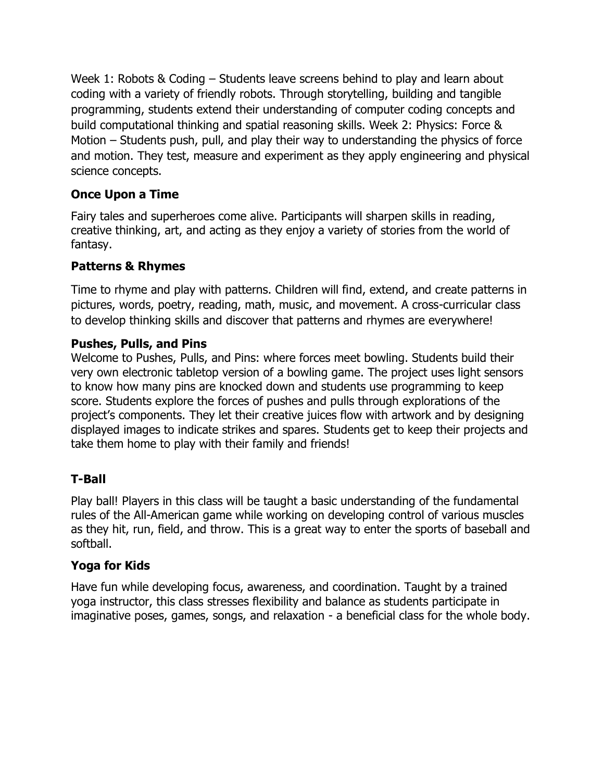Week 1: Robots & Coding  $-$  Students leave screens behind to play and learn about coding with a variety of friendly robots. Through storytelling, building and tangible programming, students extend their understanding of computer coding concepts and build computational thinking and spatial reasoning skills. Week 2: Physics: Force & Motion - Students push, pull, and play their way to understanding the physics of force and motion. They test, measure and experiment as they apply engineering and physical science concepts.

### **Once Upon a Time**

Fairy tales and superheroes come alive. Participants will sharpen skills in reading, creative thinking, art, and acting as they enjoy a variety of stories from the world of fantasy.

### **Patterns & Rhymes**

Time to rhyme and play with patterns. Children will find, extend, and create patterns in pictures, words, poetry, reading, math, music, and movement. A cross-curricular class to develop thinking skills and discover that patterns and rhymes are everywhere!

### **Pushes, Pulls, and Pins**

Welcome to Pushes, Pulls, and Pins: where forces meet bowling. Students build their very own electronic tabletop version of a bowling game. The project uses light sensors to know how many pins are knocked down and students use programming to keep score. Students explore the forces of pushes and pulls through explorations of the project's components. They let their creative juices flow with artwork and by designing displayed images to indicate strikes and spares. Students get to keep their projects and take them home to play with their family and friends!

## **T-Ball**

Play ball! Players in this class will be taught a basic understanding of the fundamental rules of the All-American game while working on developing control of various muscles as they hit, run, field, and throw. This is a great way to enter the sports of baseball and softball.

### **Yoga for Kids**

Have fun while developing focus, awareness, and coordination. Taught by a trained yoga instructor, this class stresses flexibility and balance as students participate in imaginative poses, games, songs, and relaxation - a beneficial class for the whole body.